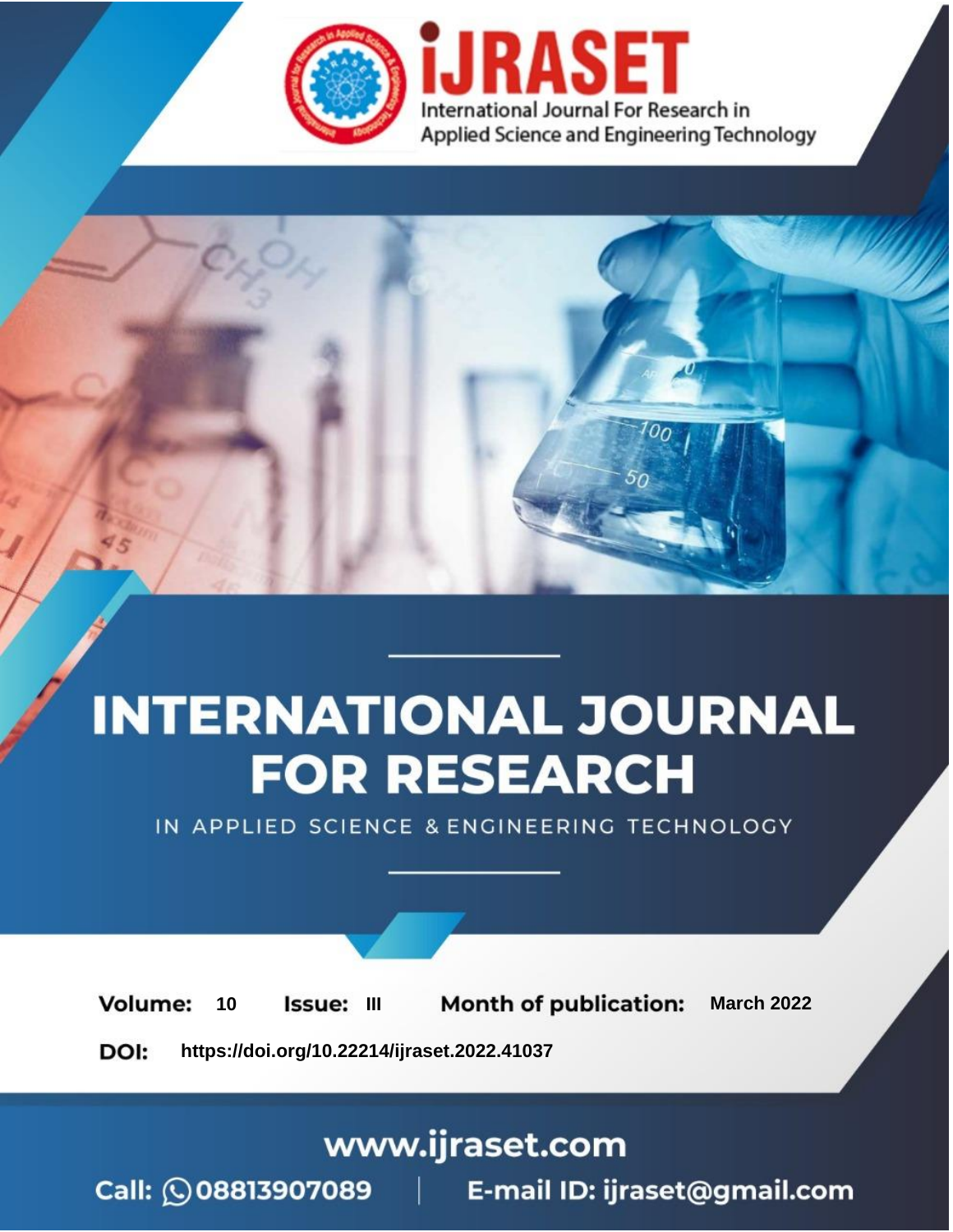

# **INTERNATIONAL JOURNAL FOR RESEARCH**

IN APPLIED SCIENCE & ENGINEERING TECHNOLOGY

10 **Issue: III Month of publication:** March 2022 **Volume:** 

**https://doi.org/10.22214/ijraset.2022.41037**DOI:

www.ijraset.com

Call: 008813907089 | E-mail ID: ijraset@gmail.com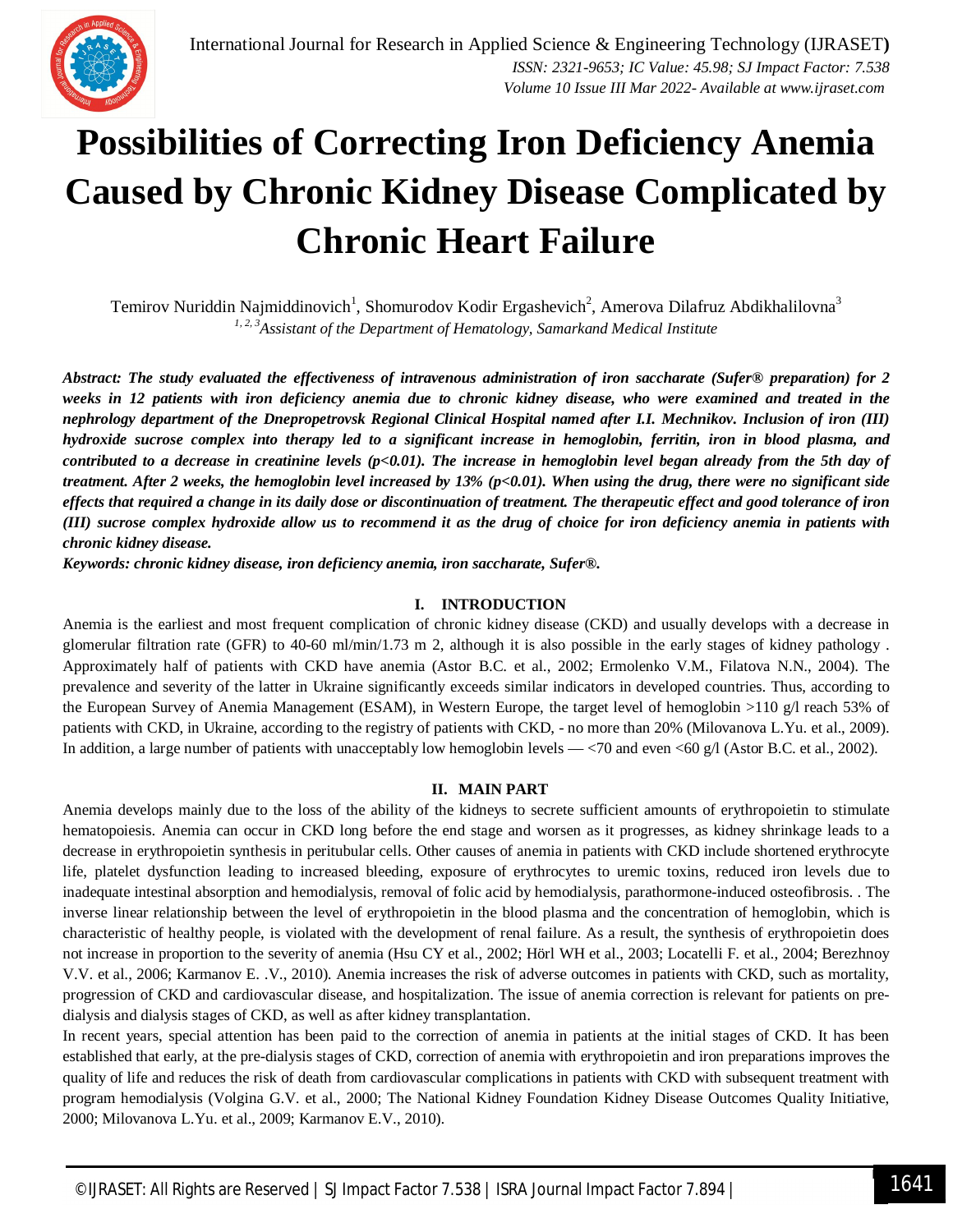## **Possibilities of Correcting Iron Deficiency Anemia Caused by Chronic Kidney Disease Complicated by Chronic Heart Failure**

Temirov Nuriddin Najmiddinovich<sup>1</sup>, Shomurodov Kodir Ergashevich<sup>2</sup>, Amerova Dilafruz Abdikhalilovna<sup>3</sup> *1, 2, 3Assistant of the Department of Hematology, Samarkand Medical Institute*

*Abstract: The study evaluated the effectiveness of intravenous administration of iron saccharate (Sufer® preparation) for 2 weeks in 12 patients with iron deficiency anemia due to chronic kidney disease, who were examined and treated in the nephrology department of the Dnepropetrovsk Regional Clinical Hospital named after I.I. Mechnikov. Inclusion of iron (III) hydroxide sucrose complex into therapy led to a significant increase in hemoglobin, ferritin, iron in blood plasma, and contributed to a decrease in creatinine levels (p<0.01). The increase in hemoglobin level began already from the 5th day of treatment. After 2 weeks, the hemoglobin level increased by 13% (p<0.01). When using the drug, there were no significant side effects that required a change in its daily dose or discontinuation of treatment. The therapeutic effect and good tolerance of iron (III) sucrose complex hydroxide allow us to recommend it as the drug of choice for iron deficiency anemia in patients with chronic kidney disease.* 

*Keywords: chronic kidney disease, iron deficiency anemia, iron saccharate, Sufer®.*

### **I. INTRODUCTION**

Anemia is the earliest and most frequent complication of chronic kidney disease (CKD) and usually develops with a decrease in glomerular filtration rate (GFR) to 40-60 ml/min/1.73 m 2, although it is also possible in the early stages of kidney pathology . Approximately half of patients with CKD have anemia (Astor B.C. et al., 2002; Ermolenko V.M., Filatova N.N., 2004). The prevalence and severity of the latter in Ukraine significantly exceeds similar indicators in developed countries. Thus, according to the European Survey of Anemia Management (ESAM), in Western Europe, the target level of hemoglobin >110 g/l reach 53% of patients with CKD, in Ukraine, according to the registry of patients with CKD, - no more than 20% (Milovanova L.Yu. et al., 2009). In addition, a large number of patients with unacceptably low hemoglobin levels — <70 and even <60 g/l (Astor B.C. et al., 2002).

#### **II. MAIN PART**

Anemia develops mainly due to the loss of the ability of the kidneys to secrete sufficient amounts of erythropoietin to stimulate hematopoiesis. Anemia can occur in CKD long before the end stage and worsen as it progresses, as kidney shrinkage leads to a decrease in erythropoietin synthesis in peritubular cells. Other causes of anemia in patients with CKD include shortened erythrocyte life, platelet dysfunction leading to increased bleeding, exposure of erythrocytes to uremic toxins, reduced iron levels due to inadequate intestinal absorption and hemodialysis, removal of folic acid by hemodialysis, parathormone-induced osteofibrosis. . The inverse linear relationship between the level of erythropoietin in the blood plasma and the concentration of hemoglobin, which is characteristic of healthy people, is violated with the development of renal failure. As a result, the synthesis of erythropoietin does not increase in proportion to the severity of anemia (Hsu CY et al., 2002; Hörl WH et al., 2003; Locatelli F. et al., 2004; Berezhnoy V.V. et al., 2006; Karmanov E. .V., 2010). Anemia increases the risk of adverse outcomes in patients with CKD, such as mortality, progression of CKD and cardiovascular disease, and hospitalization. The issue of anemia correction is relevant for patients on predialysis and dialysis stages of CKD, as well as after kidney transplantation.

In recent years, special attention has been paid to the correction of anemia in patients at the initial stages of CKD. It has been established that early, at the pre-dialysis stages of CKD, correction of anemia with erythropoietin and iron preparations improves the quality of life and reduces the risk of death from cardiovascular complications in patients with CKD with subsequent treatment with program hemodialysis (Volgina G.V. et al., 2000; The National Kidney Foundation Kidney Disease Outcomes Quality Initiative, 2000; Milovanova L.Yu. et al., 2009; Karmanov E.V., 2010).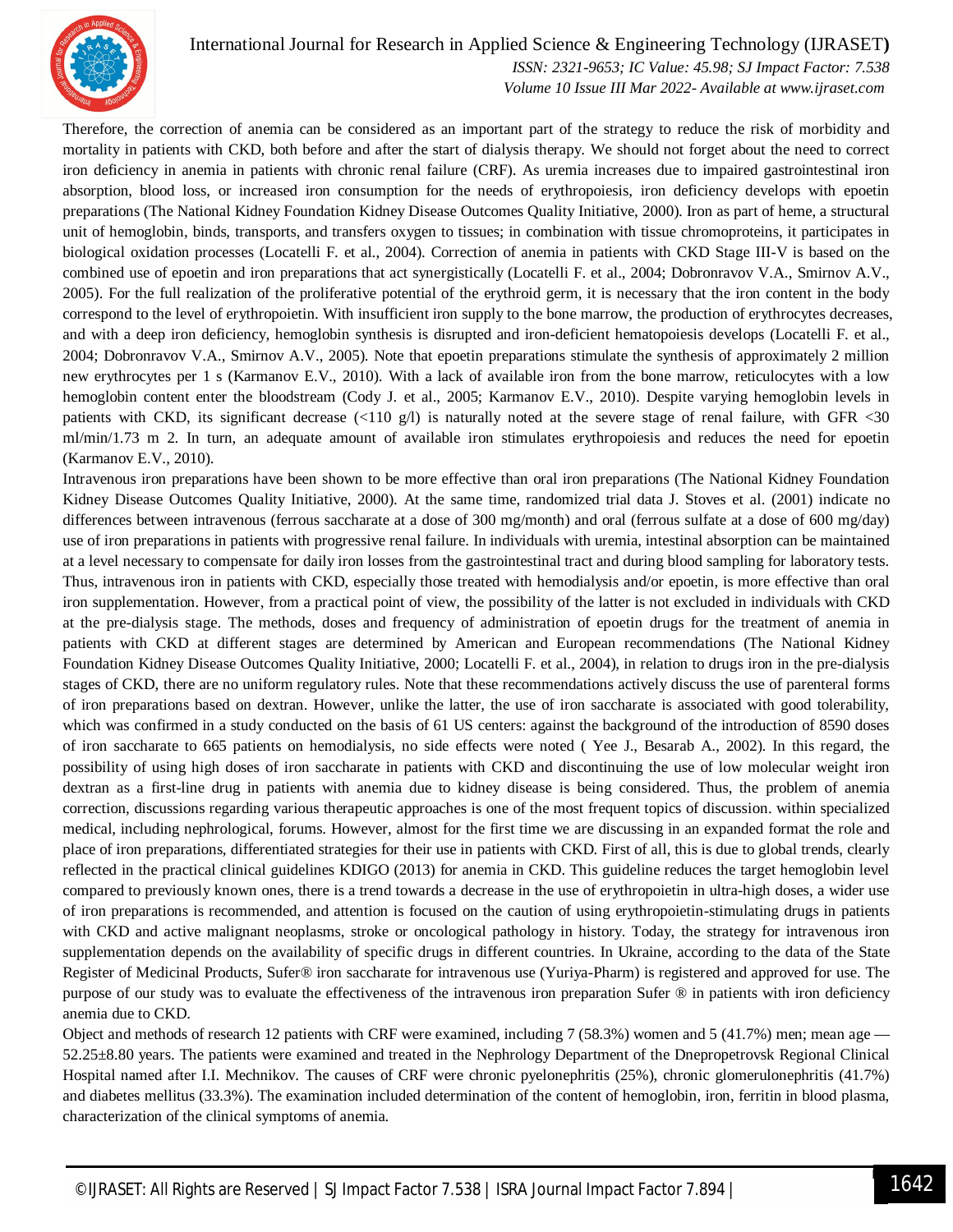

## International Journal for Research in Applied Science & Engineering Technology (IJRASET**)**

 *ISSN: 2321-9653; IC Value: 45.98; SJ Impact Factor: 7.538 Volume 10 Issue III Mar 2022- Available at www.ijraset.com*

Therefore, the correction of anemia can be considered as an important part of the strategy to reduce the risk of morbidity and mortality in patients with CKD, both before and after the start of dialysis therapy. We should not forget about the need to correct iron deficiency in anemia in patients with chronic renal failure (CRF). As uremia increases due to impaired gastrointestinal iron absorption, blood loss, or increased iron consumption for the needs of erythropoiesis, iron deficiency develops with epoetin preparations (The National Kidney Foundation Kidney Disease Outcomes Quality Initiative, 2000). Iron as part of heme, a structural unit of hemoglobin, binds, transports, and transfers oxygen to tissues; in combination with tissue chromoproteins, it participates in biological oxidation processes (Locatelli F. et al., 2004). Correction of anemia in patients with CKD Stage III-V is based on the combined use of epoetin and iron preparations that act synergistically (Locatelli F. et al., 2004; Dobronravov V.A., Smirnov A.V., 2005). For the full realization of the proliferative potential of the erythroid germ, it is necessary that the iron content in the body correspond to the level of erythropoietin. With insufficient iron supply to the bone marrow, the production of erythrocytes decreases, and with a deep iron deficiency, hemoglobin synthesis is disrupted and iron-deficient hematopoiesis develops (Locatelli F. et al., 2004; Dobronravov V.A., Smirnov A.V., 2005). Note that epoetin preparations stimulate the synthesis of approximately 2 million new erythrocytes per 1 s (Karmanov E.V., 2010). With a lack of available iron from the bone marrow, reticulocytes with a low hemoglobin content enter the bloodstream (Cody J. et al., 2005; Karmanov E.V., 2010). Despite varying hemoglobin levels in patients with CKD, its significant decrease (<110 g/l) is naturally noted at the severe stage of renal failure, with GFR <30 ml/min/1.73 m 2. In turn, an adequate amount of available iron stimulates erythropoiesis and reduces the need for epoetin (Karmanov E.V., 2010).

Intravenous iron preparations have been shown to be more effective than oral iron preparations (The National Kidney Foundation Kidney Disease Outcomes Quality Initiative, 2000). At the same time, randomized trial data J. Stoves et al. (2001) indicate no differences between intravenous (ferrous saccharate at a dose of 300 mg/month) and oral (ferrous sulfate at a dose of 600 mg/day) use of iron preparations in patients with progressive renal failure. In individuals with uremia, intestinal absorption can be maintained at a level necessary to compensate for daily iron losses from the gastrointestinal tract and during blood sampling for laboratory tests. Thus, intravenous iron in patients with CKD, especially those treated with hemodialysis and/or epoetin, is more effective than oral iron supplementation. However, from a practical point of view, the possibility of the latter is not excluded in individuals with CKD at the pre-dialysis stage. The methods, doses and frequency of administration of epoetin drugs for the treatment of anemia in patients with CKD at different stages are determined by American and European recommendations (The National Kidney Foundation Kidney Disease Outcomes Quality Initiative, 2000; Locatelli F. et al., 2004), in relation to drugs iron in the pre-dialysis stages of CKD, there are no uniform regulatory rules. Note that these recommendations actively discuss the use of parenteral forms of iron preparations based on dextran. However, unlike the latter, the use of iron saccharate is associated with good tolerability, which was confirmed in a study conducted on the basis of 61 US centers: against the background of the introduction of 8590 doses of iron saccharate to 665 patients on hemodialysis, no side effects were noted ( Yee J., Besarab A., 2002). In this regard, the possibility of using high doses of iron saccharate in patients with CKD and discontinuing the use of low molecular weight iron dextran as a first-line drug in patients with anemia due to kidney disease is being considered. Thus, the problem of anemia correction, discussions regarding various therapeutic approaches is one of the most frequent topics of discussion. within specialized medical, including nephrological, forums. However, almost for the first time we are discussing in an expanded format the role and place of iron preparations, differentiated strategies for their use in patients with CKD. First of all, this is due to global trends, clearly reflected in the practical clinical guidelines KDIGO (2013) for anemia in CKD. This guideline reduces the target hemoglobin level compared to previously known ones, there is a trend towards a decrease in the use of erythropoietin in ultra-high doses, a wider use of iron preparations is recommended, and attention is focused on the caution of using erythropoietin-stimulating drugs in patients with CKD and active malignant neoplasms, stroke or oncological pathology in history. Today, the strategy for intravenous iron supplementation depends on the availability of specific drugs in different countries. In Ukraine, according to the data of the State Register of Medicinal Products, Sufer® iron saccharate for intravenous use (Yuriya-Pharm) is registered and approved for use. The purpose of our study was to evaluate the effectiveness of the intravenous iron preparation Sufer ® in patients with iron deficiency anemia due to CKD.

Object and methods of research 12 patients with CRF were examined, including 7 (58.3%) women and 5 (41.7%) men; mean age — 52.25±8.80 years. The patients were examined and treated in the Nephrology Department of the Dnepropetrovsk Regional Clinical Hospital named after I.I. Mechnikov. The causes of CRF were chronic pyelonephritis (25%), chronic glomerulonephritis (41.7%) and diabetes mellitus (33.3%). The examination included determination of the content of hemoglobin, iron, ferritin in blood plasma, characterization of the clinical symptoms of anemia.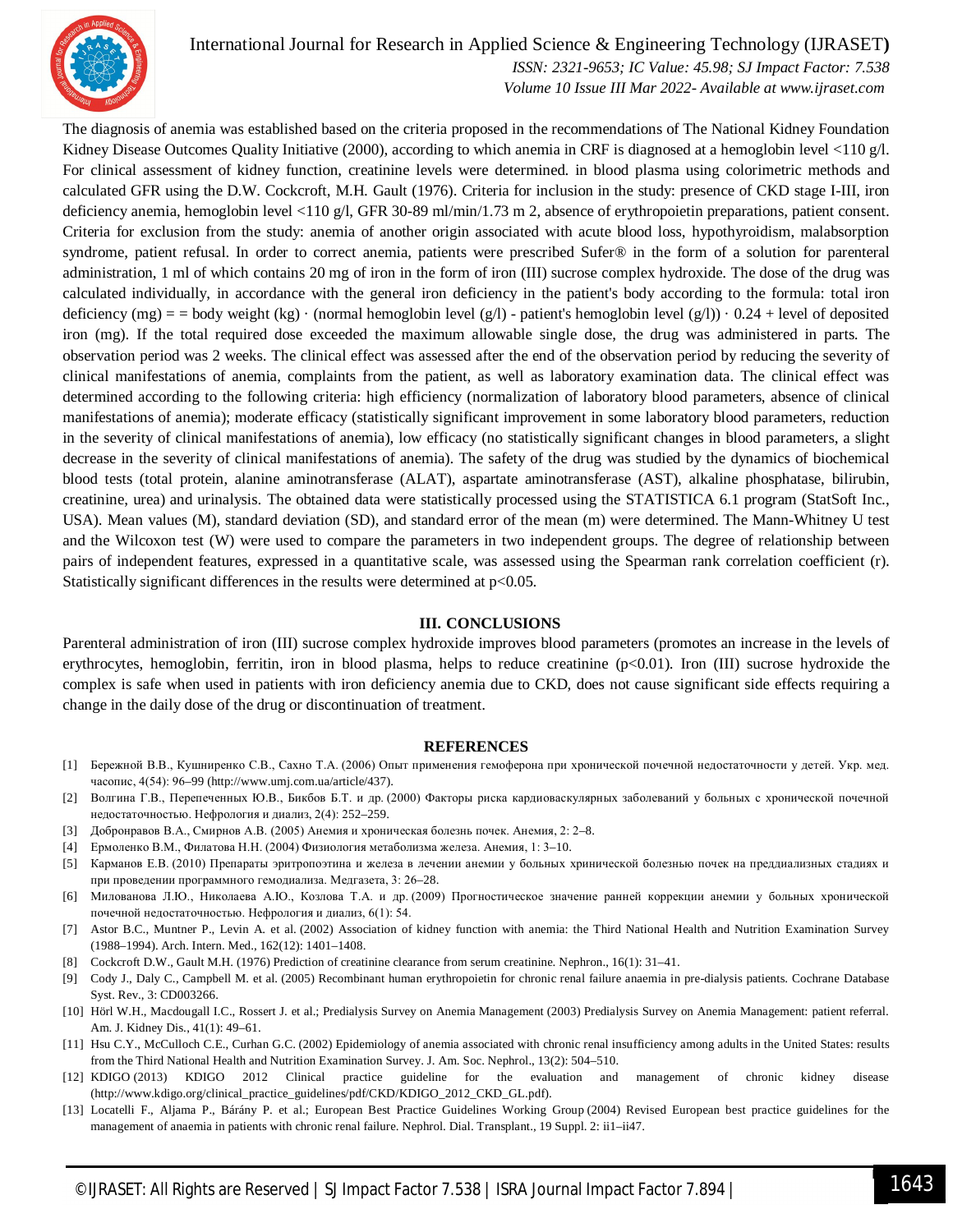

## International Journal for Research in Applied Science & Engineering Technology (IJRASET**)**

 *ISSN: 2321-9653; IC Value: 45.98; SJ Impact Factor: 7.538 Volume 10 Issue III Mar 2022- Available at www.ijraset.com*

The diagnosis of anemia was established based on the criteria proposed in the recommendations of The National Kidney Foundation Kidney Disease Outcomes Quality Initiative (2000), according to which anemia in CRF is diagnosed at a hemoglobin level <110 g/l. For clinical assessment of kidney function, creatinine levels were determined. in blood plasma using colorimetric methods and calculated GFR using the D.W. Cockcroft, M.H. Gault (1976). Criteria for inclusion in the study: presence of CKD stage I-III, iron deficiency anemia, hemoglobin level <110 g/l, GFR 30-89 ml/min/1.73 m 2, absence of erythropoietin preparations, patient consent. Criteria for exclusion from the study: anemia of another origin associated with acute blood loss, hypothyroidism, malabsorption syndrome, patient refusal. In order to correct anemia, patients were prescribed Sufer® in the form of a solution for parenteral administration, 1 ml of which contains 20 mg of iron in the form of iron (III) sucrose complex hydroxide. The dose of the drug was calculated individually, in accordance with the general iron deficiency in the patient's body according to the formula: total iron deficiency (mg) = = body weight (kg)  $\cdot$  (normal hemoglobin level (g/l) - patient's hemoglobin level (g/l))  $\cdot$  0.24 + level of deposited iron (mg). If the total required dose exceeded the maximum allowable single dose, the drug was administered in parts. The observation period was 2 weeks. The clinical effect was assessed after the end of the observation period by reducing the severity of clinical manifestations of anemia, complaints from the patient, as well as laboratory examination data. The clinical effect was determined according to the following criteria: high efficiency (normalization of laboratory blood parameters, absence of clinical manifestations of anemia); moderate efficacy (statistically significant improvement in some laboratory blood parameters, reduction in the severity of clinical manifestations of anemia), low efficacy (no statistically significant changes in blood parameters, a slight decrease in the severity of clinical manifestations of anemia). The safety of the drug was studied by the dynamics of biochemical blood tests (total protein, alanine aminotransferase (ALAT), aspartate aminotransferase (AST), alkaline phosphatase, bilirubin, creatinine, urea) and urinalysis. The obtained data were statistically processed using the STATISTICA 6.1 program (StatSoft Inc., USA). Mean values (M), standard deviation (SD), and standard error of the mean (m) were determined. The Mann-Whitney U test and the Wilcoxon test (W) were used to compare the parameters in two independent groups. The degree of relationship between pairs of independent features, expressed in a quantitative scale, was assessed using the Spearman rank correlation coefficient (r). Statistically significant differences in the results were determined at  $p<0.05$ .

#### **III. CONCLUSIONS**

Parenteral administration of iron (III) sucrose complex hydroxide improves blood parameters (promotes an increase in the levels of erythrocytes, hemoglobin, ferritin, iron in blood plasma, helps to reduce creatinine (p<0.01). Iron (III) sucrose hydroxide the complex is safe when used in patients with iron deficiency anemia due to CKD, does not cause significant side effects requiring a change in the daily dose of the drug or discontinuation of treatment.

#### **REFERENCES**

- [1] Бережной В.В., Кушниренко С.В., Сахно Т.А. (2006) Опыт применения гемоферона при хронической почечной недостаточности у детей. Укр. мед. часопис, 4(54): 96–99 (http://www.umj.com.ua/article/437).
- [2] Волгина Г.В., Перепеченных Ю.В., Бикбов Б.Т. и др. (2000) Факторы риска кардиоваскулярных заболеваний у больных с хронической почечной недостаточностью. Нефрология и диализ, 2(4): 252–259.
- [3] Добронравов В.А., Смирнов А.В. (2005) Анемия и хроническая болезнь почек. Анемия, 2: 2–8.
- [4] Ермоленко В.М., Филатова Н.Н. (2004) Физиология метаболизма железа. Анемия, 1: 3–10.
- [5] Карманов Е.В. (2010) Препараты эритропоэтина и железа в лечении анемии у больных хринической болезнью почек на преддиализных стадиях и при проведении программного гемодиализа. Медгазета, 3: 26–28.
- [6] Милованова Л.Ю., Николаева А.Ю., Козлова Т.А. и др. (2009) Прогностическое значение ранней коррекции анемии у больных хронической почечной недостаточностью. Нефрология и диализ, 6(1): 54.
- [7] Astor B.C., Muntner P., Levin A. et al. (2002) Association of kidney function with anemia: the Third National Health and Nutrition Examination Survey (1988–1994). Arch. Intern. Med., 162(12): 1401–1408.
- [8] Cockcroft D.W., Gault M.H. (1976) Prediction of creatinine clearance from serum creatinine. Nephron., 16(1): 31–41.
- [9] Cody J., Daly C., Campbell M. et al. (2005) Recombinant human erythropoietin for chronic renal failure anaemia in pre-dialysis patients. Cochrane Database Syst. Rev., 3: CD003266.
- [10] Hörl W.H., Macdougall I.C., Rossert J. et al.; Predialysis Survey on Anemia Management (2003) Predialysis Survey on Anemia Management: patient referral. Am. J. Kidney Dis., 41(1): 49–61.
- [11] Hsu C.Y., McCulloch C.E., Curhan G.C. (2002) Epidemiology of anemia associated with chronic renal insufficiency among adults in the United States: results from the Third National Health and Nutrition Examination Survey. J. Am. Soc. Nephrol., 13(2): 504–510.
- [12] KDIGO (2013) KDIGO 2012 Clinical practice guideline for the evaluation and management of chronic kidney disease (http://www.kdigo.org/clinical\_practice\_guidelines/pdf/CKD/KDIGO\_2012\_CKD\_GL.pdf).
- [13] Locatelli F., Aljama P., Bárány P. et al.; European Best Practice Guidelines Working Group (2004) Revised European best practice guidelines for the management of anaemia in patients with chronic renal failure. Nephrol. Dial. Transplant., 19 Suppl. 2: ii1-ii47.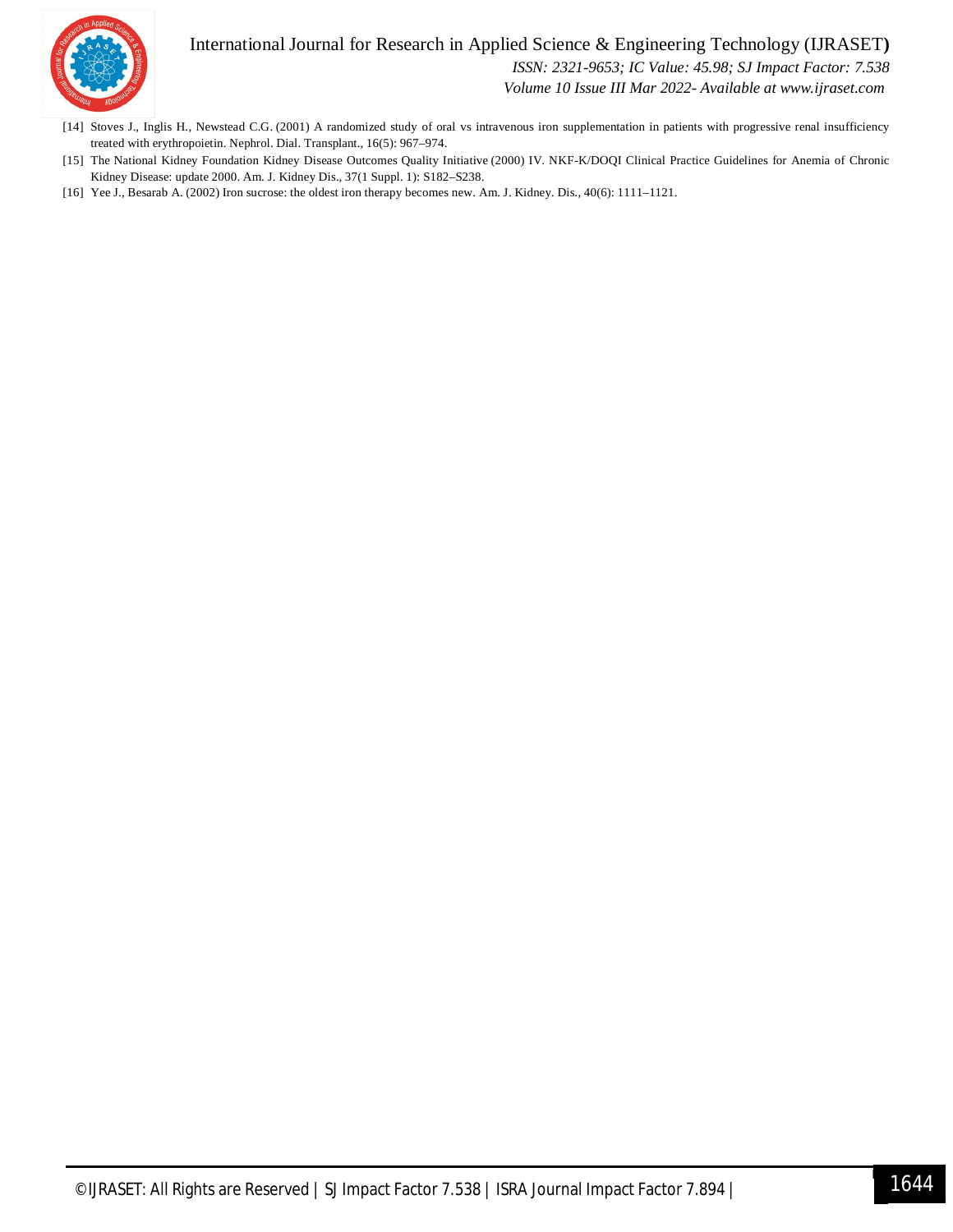## International Journal for Research in Applied Science & Engineering Technology (IJRASET**)**



 *ISSN: 2321-9653; IC Value: 45.98; SJ Impact Factor: 7.538*

 *Volume 10 Issue III Mar 2022- Available at www.ijraset.com*

- [14] Stoves J., Inglis H., Newstead C.G. (2001) A randomized study of oral vs intravenous iron supplementation in patients with progressive renal insufficiency treated with erythropoietin. Nephrol. Dial. Transplant., 16(5): 967–974.
- [15] The National Kidney Foundation Kidney Disease Outcomes Quality Initiative (2000) IV. NKF-K/DOQI Clinical Practice Guidelines for Anemia of Chronic Kidney Disease: update 2000. Am. J. Kidney Dis., 37(1 Suppl. 1): S182–S238.
- [16] Yee J., Besarab A. (2002) Iron sucrose: the oldest iron therapy becomes new. Am. J. Kidney. Dis., 40(6): 1111–1121.